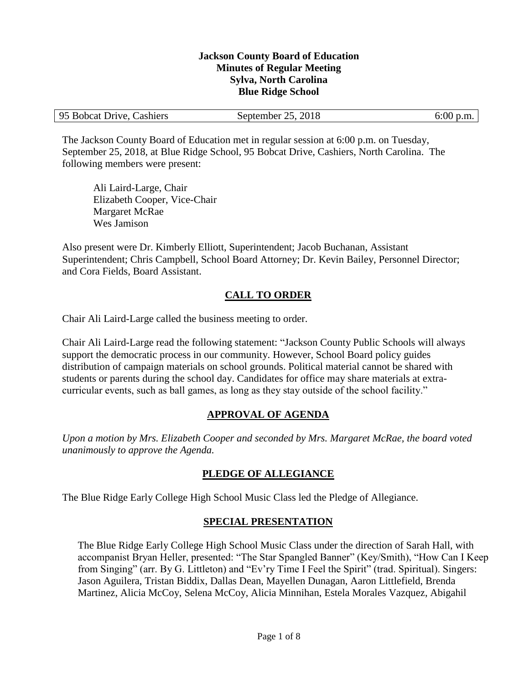#### **Jackson County Board of Education Minutes of Regular Meeting Sylva, North Carolina Blue Ridge School**

| 95 Bobcat Drive, Cashiers | September 25, 2018 | $6:00$ p.m. |
|---------------------------|--------------------|-------------|
|---------------------------|--------------------|-------------|

The Jackson County Board of Education met in regular session at 6:00 p.m. on Tuesday, September 25, 2018, at Blue Ridge School, 95 Bobcat Drive, Cashiers, North Carolina. The following members were present:

Ali Laird-Large, Chair Elizabeth Cooper, Vice-Chair Margaret McRae Wes Jamison

Also present were Dr. Kimberly Elliott, Superintendent; Jacob Buchanan, Assistant Superintendent; Chris Campbell, School Board Attorney; Dr. Kevin Bailey, Personnel Director; and Cora Fields, Board Assistant.

# **CALL TO ORDER**

Chair Ali Laird-Large called the business meeting to order.

Chair Ali Laird-Large read the following statement: "Jackson County Public Schools will always support the democratic process in our community. However, School Board policy guides distribution of campaign materials on school grounds. Political material cannot be shared with students or parents during the school day. Candidates for office may share materials at extracurricular events, such as ball games, as long as they stay outside of the school facility."

# **APPROVAL OF AGENDA**

*Upon a motion by Mrs. Elizabeth Cooper and seconded by Mrs. Margaret McRae, the board voted unanimously to approve the Agenda.*

# **PLEDGE OF ALLEGIANCE**

The Blue Ridge Early College High School Music Class led the Pledge of Allegiance.

# **SPECIAL PRESENTATION**

The Blue Ridge Early College High School Music Class under the direction of Sarah Hall, with accompanist Bryan Heller, presented: "The Star Spangled Banner" (Key/Smith), "How Can I Keep from Singing" (arr. By G. Littleton) and "Ev'ry Time I Feel the Spirit" (trad. Spiritual). Singers: Jason Aguilera, Tristan Biddix, Dallas Dean, Mayellen Dunagan, Aaron Littlefield, Brenda Martinez, Alicia McCoy, Selena McCoy, Alicia Minnihan, Estela Morales Vazquez, Abigahil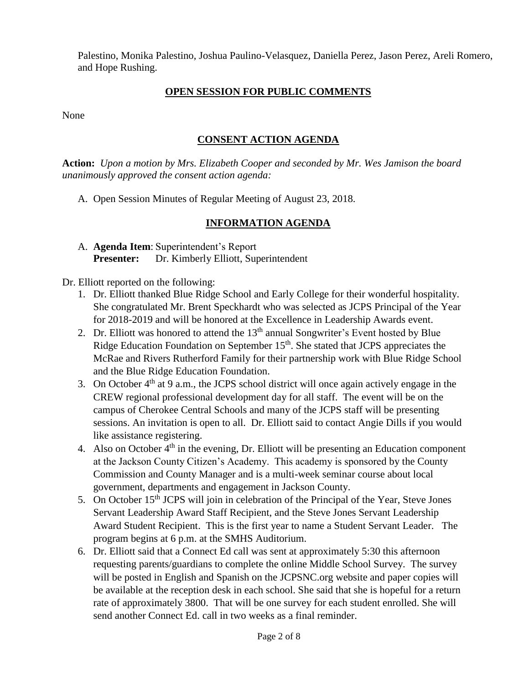Palestino, Monika Palestino, Joshua Paulino-Velasquez, Daniella Perez, Jason Perez, Areli Romero, and Hope Rushing.

# **OPEN SESSION FOR PUBLIC COMMENTS**

None

## **CONSENT ACTION AGENDA**

**Action:** *Upon a motion by Mrs. Elizabeth Cooper and seconded by Mr. Wes Jamison the board unanimously approved the consent action agenda:*

A. Open Session Minutes of Regular Meeting of August 23, 2018.

# **INFORMATION AGENDA**

A. **Agenda Item**: Superintendent's Report **Presenter:** Dr. Kimberly Elliott, Superintendent

Dr. Elliott reported on the following:

- 1. Dr. Elliott thanked Blue Ridge School and Early College for their wonderful hospitality. She congratulated Mr. Brent Speckhardt who was selected as JCPS Principal of the Year for 2018-2019 and will be honored at the Excellence in Leadership Awards event.
- 2. Dr. Elliott was honored to attend the  $13<sup>th</sup>$  annual Songwriter's Event hosted by Blue Ridge Education Foundation on September 15<sup>th</sup>. She stated that JCPS appreciates the McRae and Rivers Rutherford Family for their partnership work with Blue Ridge School and the Blue Ridge Education Foundation.
- 3. On October  $4<sup>th</sup>$  at 9 a.m., the JCPS school district will once again actively engage in the CREW regional professional development day for all staff. The event will be on the campus of Cherokee Central Schools and many of the JCPS staff will be presenting sessions. An invitation is open to all. Dr. Elliott said to contact Angie Dills if you would like assistance registering.
- 4. Also on October  $4<sup>th</sup>$  in the evening, Dr. Elliott will be presenting an Education component at the Jackson County Citizen's Academy. This academy is sponsored by the County Commission and County Manager and is a multi-week seminar course about local government, departments and engagement in Jackson County.
- 5. On October 15<sup>th</sup> JCPS will join in celebration of the Principal of the Year, Steve Jones Servant Leadership Award Staff Recipient, and the Steve Jones Servant Leadership Award Student Recipient. This is the first year to name a Student Servant Leader. The program begins at 6 p.m. at the SMHS Auditorium.
- 6. Dr. Elliott said that a Connect Ed call was sent at approximately 5:30 this afternoon requesting parents/guardians to complete the online Middle School Survey. The survey will be posted in English and Spanish on the JCPSNC.org website and paper copies will be available at the reception desk in each school. She said that she is hopeful for a return rate of approximately 3800. That will be one survey for each student enrolled. She will send another Connect Ed. call in two weeks as a final reminder.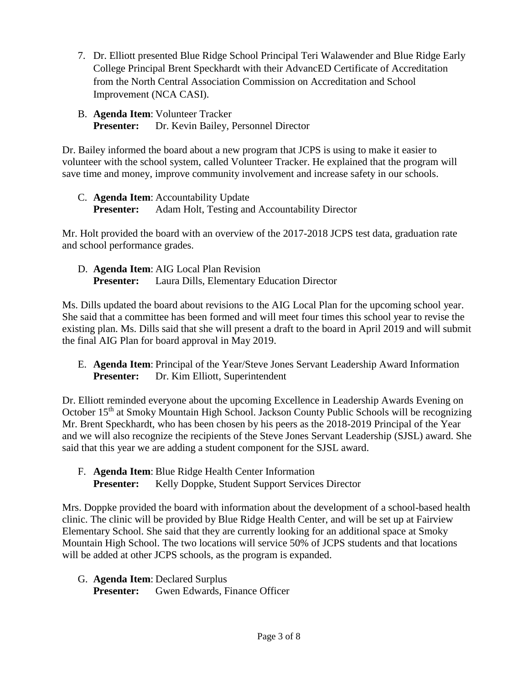- 7. Dr. Elliott presented Blue Ridge School Principal Teri Walawender and Blue Ridge Early College Principal Brent Speckhardt with their AdvancED Certificate of Accreditation from the North Central Association Commission on Accreditation and School Improvement (NCA CASI).
- B. **Agenda Item**: Volunteer Tracker **Presenter:** Dr. Kevin Bailey, Personnel Director

Dr. Bailey informed the board about a new program that JCPS is using to make it easier to volunteer with the school system, called Volunteer Tracker. He explained that the program will save time and money, improve community involvement and increase safety in our schools.

C. **Agenda Item**: Accountability Update **Presenter:** Adam Holt, Testing and Accountability Director

Mr. Holt provided the board with an overview of the 2017-2018 JCPS test data, graduation rate and school performance grades.

D. **Agenda Item**: AIG Local Plan Revision **Presenter:** Laura Dills, Elementary Education Director

Ms. Dills updated the board about revisions to the AIG Local Plan for the upcoming school year. She said that a committee has been formed and will meet four times this school year to revise the existing plan. Ms. Dills said that she will present a draft to the board in April 2019 and will submit the final AIG Plan for board approval in May 2019.

E. **Agenda Item**: Principal of the Year/Steve Jones Servant Leadership Award Information **Presenter:** Dr. Kim Elliott, Superintendent

Dr. Elliott reminded everyone about the upcoming Excellence in Leadership Awards Evening on October 15<sup>th</sup> at Smoky Mountain High School. Jackson County Public Schools will be recognizing Mr. Brent Speckhardt, who has been chosen by his peers as the 2018-2019 Principal of the Year and we will also recognize the recipients of the Steve Jones Servant Leadership (SJSL) award. She said that this year we are adding a student component for the SJSL award.

F. **Agenda Item**: Blue Ridge Health Center Information **Presenter:** Kelly Doppke, Student Support Services Director

Mrs. Doppke provided the board with information about the development of a school-based health clinic. The clinic will be provided by Blue Ridge Health Center, and will be set up at Fairview Elementary School. She said that they are currently looking for an additional space at Smoky Mountain High School. The two locations will service 50% of JCPS students and that locations will be added at other JCPS schools, as the program is expanded.

G. **Agenda Item**: Declared Surplus

**Presenter:** Gwen Edwards, Finance Officer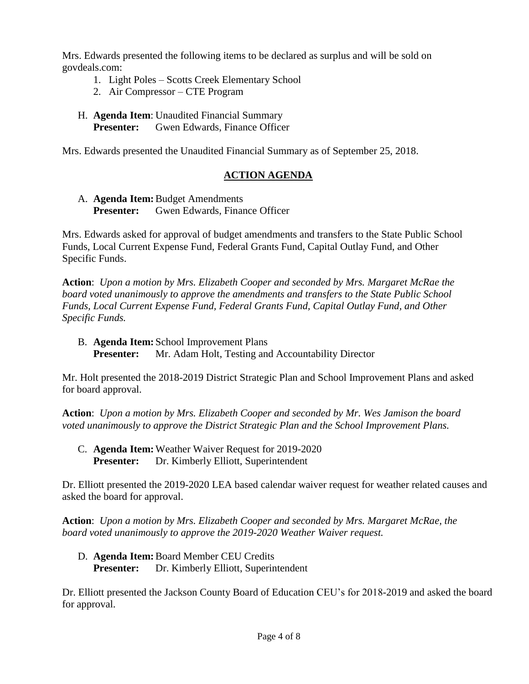Mrs. Edwards presented the following items to be declared as surplus and will be sold on govdeals.com:

- 1. Light Poles Scotts Creek Elementary School
- 2. Air Compressor CTE Program
- H. **Agenda Item**: Unaudited Financial Summary **Presenter:** Gwen Edwards, Finance Officer

Mrs. Edwards presented the Unaudited Financial Summary as of September 25, 2018.

# **ACTION AGENDA**

A. **Agenda Item:**Budget Amendments **Presenter:** Gwen Edwards, Finance Officer

Mrs. Edwards asked for approval of budget amendments and transfers to the State Public School Funds, Local Current Expense Fund, Federal Grants Fund, Capital Outlay Fund, and Other Specific Funds.

**Action**: *Upon a motion by Mrs. Elizabeth Cooper and seconded by Mrs. Margaret McRae the board voted unanimously to approve the amendments and transfers to the State Public School Funds, Local Current Expense Fund, Federal Grants Fund, Capital Outlay Fund, and Other Specific Funds.*

B. **Agenda Item:** School Improvement Plans **Presenter:** Mr. Adam Holt, Testing and Accountability Director

Mr. Holt presented the 2018-2019 District Strategic Plan and School Improvement Plans and asked for board approval.

**Action**: *Upon a motion by Mrs. Elizabeth Cooper and seconded by Mr. Wes Jamison the board voted unanimously to approve the District Strategic Plan and the School Improvement Plans.*

C. **Agenda Item:**Weather Waiver Request for 2019-2020 **Presenter:** Dr. Kimberly Elliott, Superintendent

Dr. Elliott presented the 2019-2020 LEA based calendar waiver request for weather related causes and asked the board for approval.

**Action**: *Upon a motion by Mrs. Elizabeth Cooper and seconded by Mrs. Margaret McRae, the board voted unanimously to approve the 2019-2020 Weather Waiver request.*

D. **Agenda Item:**Board Member CEU Credits **Presenter:** Dr. Kimberly Elliott, Superintendent

Dr. Elliott presented the Jackson County Board of Education CEU's for 2018-2019 and asked the board for approval.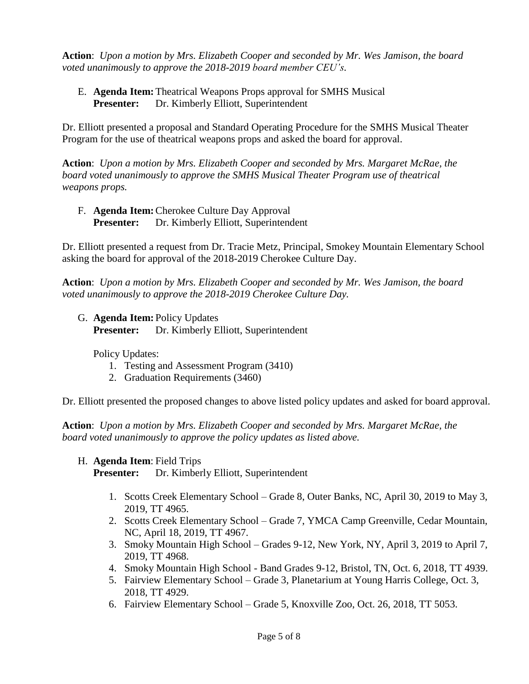**Action**: *Upon a motion by Mrs. Elizabeth Cooper and seconded by Mr. Wes Jamison, the board voted unanimously to approve the 2018-2019 board member CEU's.*

E. **Agenda Item:**Theatrical Weapons Props approval for SMHS Musical **Presenter:** Dr. Kimberly Elliott, Superintendent

Dr. Elliott presented a proposal and Standard Operating Procedure for the SMHS Musical Theater Program for the use of theatrical weapons props and asked the board for approval.

**Action**: *Upon a motion by Mrs. Elizabeth Cooper and seconded by Mrs. Margaret McRae, the board voted unanimously to approve the SMHS Musical Theater Program use of theatrical weapons props.*

F. **Agenda Item:**Cherokee Culture Day Approval **Presenter:** Dr. Kimberly Elliott, Superintendent

Dr. Elliott presented a request from Dr. Tracie Metz, Principal, Smokey Mountain Elementary School asking the board for approval of the 2018-2019 Cherokee Culture Day.

**Action**: *Upon a motion by Mrs. Elizabeth Cooper and seconded by Mr. Wes Jamison, the board voted unanimously to approve the 2018-2019 Cherokee Culture Day.*

G. **Agenda Item:** Policy Updates **Presenter:** Dr. Kimberly Elliott, Superintendent

Policy Updates:

- 1. Testing and Assessment Program (3410)
- 2. Graduation Requirements (3460)

Dr. Elliott presented the proposed changes to above listed policy updates and asked for board approval.

**Action**: *Upon a motion by Mrs. Elizabeth Cooper and seconded by Mrs. Margaret McRae, the board voted unanimously to approve the policy updates as listed above.*

H. **Agenda Item**: Field Trips

**Presenter:** Dr. Kimberly Elliott, Superintendent

- 1. Scotts Creek Elementary School Grade 8, Outer Banks, NC, April 30, 2019 to May 3, 2019, TT 4965.
- 2. Scotts Creek Elementary School Grade 7, YMCA Camp Greenville, Cedar Mountain, NC, April 18, 2019, TT 4967.
- 3. Smoky Mountain High School Grades 9-12, New York, NY, April 3, 2019 to April 7, 2019, TT 4968.
- 4. Smoky Mountain High School Band Grades 9-12, Bristol, TN, Oct. 6, 2018, TT 4939.
- 5. Fairview Elementary School Grade 3, Planetarium at Young Harris College, Oct. 3, 2018, TT 4929.
- 6. Fairview Elementary School Grade 5, Knoxville Zoo, Oct. 26, 2018, TT 5053.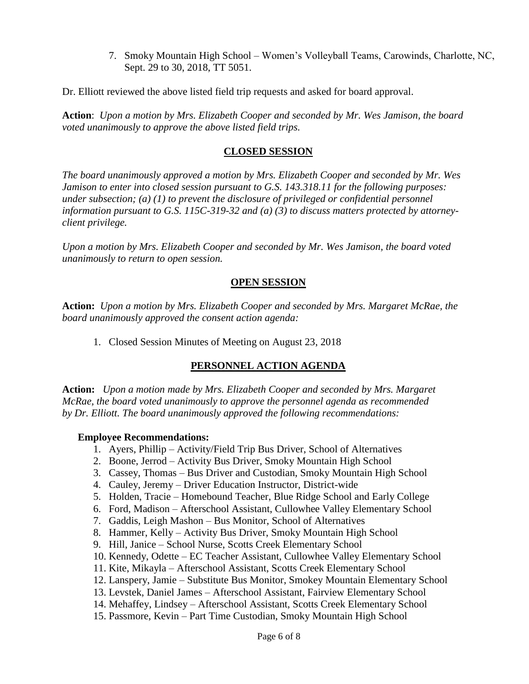7. Smoky Mountain High School – Women's Volleyball Teams, Carowinds, Charlotte, NC, Sept. 29 to 30, 2018, TT 5051.

Dr. Elliott reviewed the above listed field trip requests and asked for board approval.

**Action**: *Upon a motion by Mrs. Elizabeth Cooper and seconded by Mr. Wes Jamison, the board voted unanimously to approve the above listed field trips.*

#### **CLOSED SESSION**

*The board unanimously approved a motion by Mrs. Elizabeth Cooper and seconded by Mr. Wes Jamison to enter into closed session pursuant to G.S. 143.318.11 for the following purposes: under subsection; (a) (1) to prevent the disclosure of privileged or confidential personnel information pursuant to G.S. 115C-319-32 and (a) (3) to discuss matters protected by attorneyclient privilege.* 

*Upon a motion by Mrs. Elizabeth Cooper and seconded by Mr. Wes Jamison, the board voted unanimously to return to open session.*

#### **OPEN SESSION**

**Action:** *Upon a motion by Mrs. Elizabeth Cooper and seconded by Mrs. Margaret McRae, the board unanimously approved the consent action agenda:*

1. Closed Session Minutes of Meeting on August 23, 2018

### **PERSONNEL ACTION AGENDA**

**Action:** *Upon a motion made by Mrs. Elizabeth Cooper and seconded by Mrs. Margaret McRae, the board voted unanimously to approve the personnel agenda as recommended by Dr. Elliott. The board unanimously approved the following recommendations:*

#### **Employee Recommendations:**

- 1. Ayers, Phillip Activity/Field Trip Bus Driver, School of Alternatives
- 2. Boone, Jerrod Activity Bus Driver, Smoky Mountain High School
- 3. Cassey, Thomas Bus Driver and Custodian, Smoky Mountain High School
- 4. Cauley, Jeremy Driver Education Instructor, District-wide
- 5. Holden, Tracie Homebound Teacher, Blue Ridge School and Early College
- 6. Ford, Madison Afterschool Assistant, Cullowhee Valley Elementary School
- 7. Gaddis, Leigh Mashon Bus Monitor, School of Alternatives
- 8. Hammer, Kelly Activity Bus Driver, Smoky Mountain High School
- 9. Hill, Janice School Nurse, Scotts Creek Elementary School
- 10. Kennedy, Odette EC Teacher Assistant, Cullowhee Valley Elementary School
- 11. Kite, Mikayla Afterschool Assistant, Scotts Creek Elementary School
- 12. Lanspery, Jamie Substitute Bus Monitor, Smokey Mountain Elementary School
- 13. Levstek, Daniel James Afterschool Assistant, Fairview Elementary School
- 14. Mehaffey, Lindsey Afterschool Assistant, Scotts Creek Elementary School
- 15. Passmore, Kevin Part Time Custodian, Smoky Mountain High School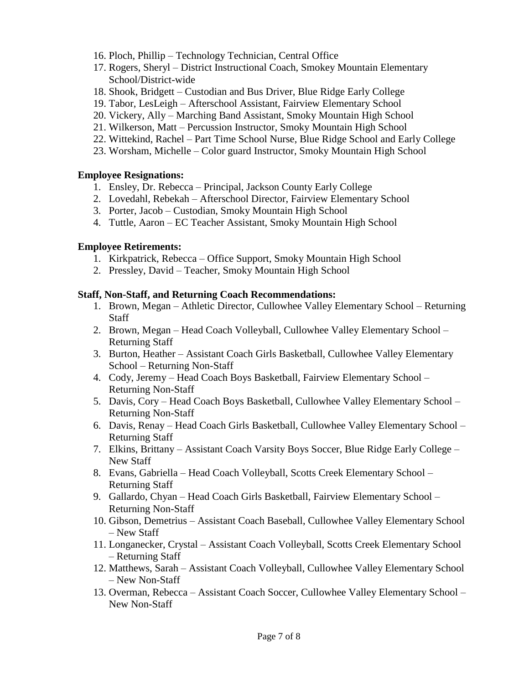- 16. Ploch, Phillip Technology Technician, Central Office
- 17. Rogers, Sheryl District Instructional Coach, Smokey Mountain Elementary School/District-wide
- 18. Shook, Bridgett Custodian and Bus Driver, Blue Ridge Early College
- 19. Tabor, LesLeigh Afterschool Assistant, Fairview Elementary School
- 20. Vickery, Ally Marching Band Assistant, Smoky Mountain High School
- 21. Wilkerson, Matt Percussion Instructor, Smoky Mountain High School
- 22. Wittekind, Rachel Part Time School Nurse, Blue Ridge School and Early College
- 23. Worsham, Michelle Color guard Instructor, Smoky Mountain High School

### **Employee Resignations:**

- 1. Ensley, Dr. Rebecca Principal, Jackson County Early College
- 2. Lovedahl, Rebekah Afterschool Director, Fairview Elementary School
- 3. Porter, Jacob Custodian, Smoky Mountain High School
- 4. Tuttle, Aaron EC Teacher Assistant, Smoky Mountain High School

### **Employee Retirements:**

- 1. Kirkpatrick, Rebecca Office Support, Smoky Mountain High School
- 2. Pressley, David Teacher, Smoky Mountain High School

### **Staff, Non-Staff, and Returning Coach Recommendations:**

- 1. Brown, Megan Athletic Director, Cullowhee Valley Elementary School Returning **Staff**
- 2. Brown, Megan Head Coach Volleyball, Cullowhee Valley Elementary School Returning Staff
- 3. Burton, Heather Assistant Coach Girls Basketball, Cullowhee Valley Elementary School – Returning Non-Staff
- 4. Cody, Jeremy Head Coach Boys Basketball, Fairview Elementary School Returning Non-Staff
- 5. Davis, Cory Head Coach Boys Basketball, Cullowhee Valley Elementary School Returning Non-Staff
- 6. Davis, Renay Head Coach Girls Basketball, Cullowhee Valley Elementary School Returning Staff
- 7. Elkins, Brittany Assistant Coach Varsity Boys Soccer, Blue Ridge Early College New Staff
- 8. Evans, Gabriella Head Coach Volleyball, Scotts Creek Elementary School Returning Staff
- 9. Gallardo, Chyan Head Coach Girls Basketball, Fairview Elementary School Returning Non-Staff
- 10. Gibson, Demetrius Assistant Coach Baseball, Cullowhee Valley Elementary School – New Staff
- 11. Longanecker, Crystal Assistant Coach Volleyball, Scotts Creek Elementary School – Returning Staff
- 12. Matthews, Sarah Assistant Coach Volleyball, Cullowhee Valley Elementary School – New Non-Staff
- 13. Overman, Rebecca Assistant Coach Soccer, Cullowhee Valley Elementary School New Non-Staff